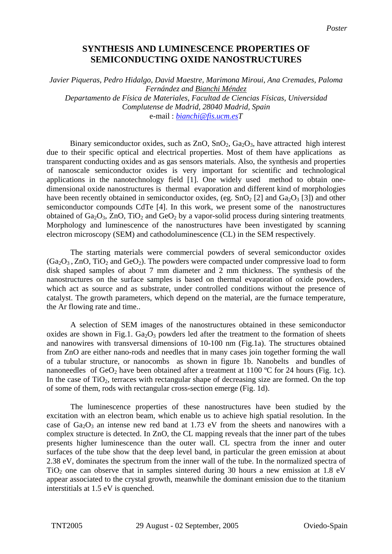## **SYNTHESIS AND LUMINESCENCE PROPERTIES OF SEMICONDUCTING OXIDE NANOSTRUCTURES**

*Javier Piqueras, Pedro Hidalgo, David Maestre, Marimona Miroui, Ana Cremades, Paloma Fernández and Bianchi Méndez Departamento de Física de Materiales, Facultad de Ciencias Físicas, Universidad Complutense de Madrid, 28040 Madrid, Spain*  e-mail : *[bianchi@fis.ucm.esT](mailto:bianchi@fis.ucm.es)*

Binary semiconductor oxides, such as  $ZnO$ ,  $SnO<sub>2</sub>$ ,  $Ga<sub>2</sub>O<sub>3</sub>$ , have attracted high interest due to their specific optical and electrical properties. Most of them have applications as transparent conducting oxides and as gas sensors materials. Also, the synthesis and properties of nanoscale semiconductor oxides is very important for scientific and technological applications in the nanotechnology field [1]. One widely used method to obtain onedimensional oxide nanostructures is thermal evaporation and different kind of morphologies have been recently obtained in semiconductor oxides, (eg.  $SnO<sub>2</sub> [2]$  and  $Ga<sub>2</sub>O<sub>3</sub> [3]$ ) and other semiconductor compounds CdTe [4]. In this work, we present some of the nanostructures obtained of  $Ga_2O_3$ , ZnO, TiO<sub>2</sub> and GeO<sub>2</sub> by a vapor-solid process during sintering treatments. Morphology and luminescence of the nanostructures have been investigated by scanning electron microscopy (SEM) and cathodoluminescence (CL) in the SEM respectively.

The starting materials were commercial powders of several semiconductor oxides  $(Ga<sub>2</sub>O<sub>3</sub>, ZnO, TiO<sub>2</sub>$  and  $GeO<sub>2</sub>$ ). The powders were compacted under compressive load to form disk shaped samples of about 7 mm diameter and 2 mm thickness. The synthesis of the nanostructures on the surface samples is based on thermal evaporation of oxide powders, which act as source and as substrate, under controlled conditions without the presence of catalyst. The growth parameters, which depend on the material, are the furnace temperature, the Ar flowing rate and time..

A selection of SEM images of the nanostructures obtained in these semiconductor oxides are shown in Fig.1.  $Ga<sub>2</sub>O<sub>3</sub>$  powders led after the treatment to the formation of sheets and nanowires with transversal dimensions of 10-100 nm (Fig.1a). The structures obtained from ZnO are either nano-rods and needles that in many cases join together forming the wall of a tubular structure, or nanocombs as shown in figure 1b. Nanobelts and bundles of nanoneedles of GeO<sub>2</sub> have been obtained after a treatment at 1100 °C for 24 hours (Fig. 1c). In the case of  $TiO<sub>2</sub>$ , terraces with rectangular shape of decreasing size are formed. On the top of some of them, rods with rectangular cross-section emerge (Fig. 1d).

The luminescence properties of these nanostructures have been studied by the excitation with an electron beam, which enable us to achieve high spatial resolution. In the case of  $Ga_2O_3$  an intense new red band at 1.73 eV from the sheets and nanowires with a complex structure is detected. In ZnO, the CL mapping reveals that the inner part of the tubes presents higher luminescence than the outer wall. CL spectra from the inner and outer surfaces of the tube show that the deep level band, in particular the green emission at about 2.38 eV, dominates the spectrum from the inner wall of the tube. In the normalized spectra of  $TiO<sub>2</sub>$  one can observe that in samples sintered during 30 hours a new emission at 1.8 eV appear associated to the crystal growth, meanwhile the dominant emission due to the titanium interstitials at 1.5 eV is quenched.